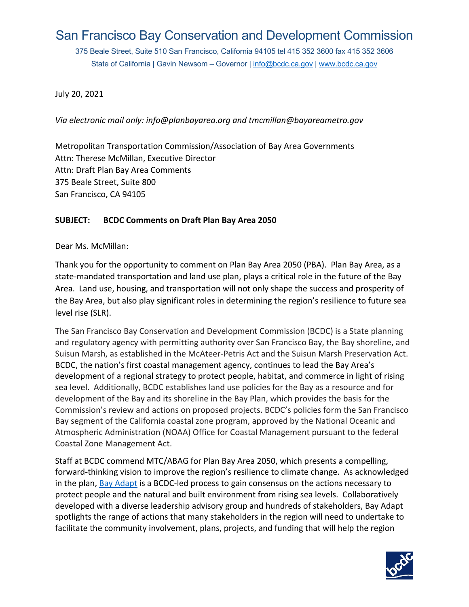# San Francisco Bay Conservation and Development Commission

 375 Beale Street, Suite 510 San Francisco, California 94105 tel 415 352 3600 fax 415 352 3606 State of California | Gavin Newsom – Governor | <u>info@bcdc.ca.gov</u> | <u>www.bcdc.ca.gov</u>

July 20, 2021

*Via electronic mail only: [info@planbayarea.org](mailto:info@planbayarea.org) and [tmcmillan@bayareametro.gov](mailto:tmcmillan@bayareametro.gov)* 

Metropolitan Transportation Commission/Association of Bay Area Governments Attn: Therese McMillan, Executive Director Attn: Draft Plan Bay Area Comments 375 Beale Street, Suite 800 San Francisco, CA 94105

#### **SUBJECT: BCDC Comments on Draft Plan Bay Area 2050**

Dear Ms. McMillan:

 state-mandated transportation and land use plan, plays a critical role in the future of the Bay level rise (SLR). Thank you for the opportunity to comment on Plan Bay Area 2050 (PBA). Plan Bay Area, as a Area. Land use, housing, and transportation will not only shape the success and prosperity of the Bay Area, but also play significant roles in determining the region's resilience to future sea

Suisun Marsh, as established in the McAteer-Petris Act and the Suisun Marsh Preservation Act.<br>BCDC, the nation's first coastal management agency, continues to lead the Bay Area's Coastal Zone Management Act. The San Francisco Bay Conservation and Development Commission (BCDC) is a State planning and regulatory agency with permitting authority over San Francisco Bay, the Bay shoreline, and development of a regional strategy to protect people, habitat, and commerce in light of rising sea level. Additionally, BCDC establishes land use policies for the Bay as a resource and for development of the Bay and its shoreline in the Bay Plan, which provides the basis for the Commission's review and actions on proposed projects. BCDC's policies form the San Francisco Bay segment of the California coastal zone program, approved by the National Oceanic and Atmospheric Administration (NOAA) Office for Coastal Management pursuant to the federal

 forward-thinking vision to improve the region's resilience to climate change. As acknowledged protect people and the natural and built environment from rising sea levels. Collaboratively Staff at BCDC commend MTC/ABAG for Plan Bay Area 2050, which presents a compelling, in the plan, Bay Adapt is a BCDC-led process to gain consensus on the actions necessary to developed with a diverse leadership advisory group and hundreds of stakeholders, Bay Adapt spotlights the range of actions that many stakeholders in the region will need to undertake to facilitate the community involvement, plans, projects, and funding that will help the region

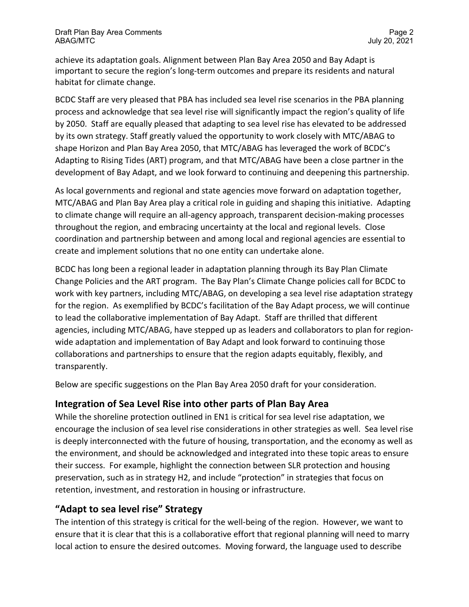important to secure the region's long-term outcomes and prepare its residents and natural achieve its adaptation goals. Alignment between Plan Bay Area 2050 and Bay Adapt is habitat for climate change.

 by 2050. Staff are equally pleased that adapting to sea level rise has elevated to be addressed by its own strategy. Staff greatly valued the opportunity to work closely with MTC/ABAG to Adapting to Rising Tides (ART) program, and that MTC/ABAG have been a close partner in the development of Bay Adapt, and we look forward to continuing and deepening this partnership. BCDC Staff are very pleased that PBA has included sea level rise scenarios in the PBA planning process and acknowledge that sea level rise will significantly impact the region's quality of life shape Horizon and Plan Bay Area 2050, that MTC/ABAG has leveraged the work of BCDC's

 MTC/ABAG and Plan Bay Area play a critical role in guiding and shaping this initiative. Adapting throughout the region, and embracing uncertainty at the local and regional levels. Close coordination and partnership between and among local and regional agencies are essential to create and implement solutions that no one entity can undertake alone. As local governments and regional and state agencies move forward on adaptation together, to climate change will require an all-agency approach, transparent decision-making processes

 BCDC has long been a regional leader in adaptation planning through its Bay Plan Climate Change Policies and the ART program. The Bay Plan's Climate Change policies call for BCDC to for the region. As exemplified by BCDC's facilitation of the Bay Adapt process, we will continue to lead the collaborative implementation of Bay Adapt. Staff are thrilled that different work with key partners, including MTC/ABAG, on developing a sea level rise adaptation strategy agencies, including MTC/ABAG, have stepped up as leaders and collaborators to plan for regionwide adaptation and implementation of Bay Adapt and look forward to continuing those collaborations and partnerships to ensure that the region adapts equitably, flexibly, and transparently.

Below are specific suggestions on the Plan Bay Area 2050 draft for your consideration.

### **Integration of Sea Level Rise into other parts of Plan Bay Area**

 encourage the inclusion of sea level rise considerations in other strategies as well. Sea level rise preservation, such as in strategy H2, and include "protection" in strategies that focus on retention, investment, and restoration in housing or infrastructure. While the shoreline protection outlined in EN1 is critical for sea level rise adaptation, we is deeply interconnected with the future of housing, transportation, and the economy as well as the environment, and should be acknowledged and integrated into these topic areas to ensure their success. For example, highlight the connection between SLR protection and housing

# **"Adapt to sea level rise" Strategy**

 local action to ensure the desired outcomes. Moving forward, the language used to describe The intention of this strategy is critical for the well-being of the region. However, we want to ensure that it is clear that this is a collaborative effort that regional planning will need to marry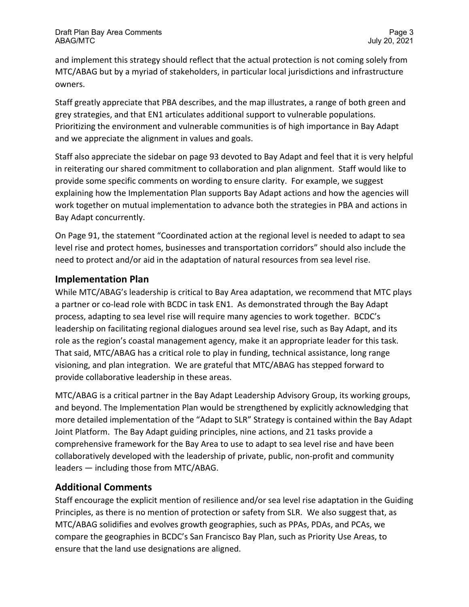owners. and implement this strategy should reflect that the actual protection is not coming solely from MTC/ABAG but by a myriad of stakeholders, in particular local jurisdictions and infrastructure

grey strategies, and that EN1 articulates additional support to vulnerable populations. Staff greatly appreciate that PBA describes, and the map illustrates, a range of both green and Prioritizing the environment and vulnerable communities is of high importance in Bay Adapt and we appreciate the alignment in values and goals.

Staff also appreciate the sidebar on page 93 devoted to Bay Adapt and feel that it is very helpful in reiterating our shared commitment to collaboration and plan alignment. Staff would like to provide some specific comments on wording to ensure clarity. For example, we suggest explaining how the Implementation Plan supports Bay Adapt actions and how the agencies will work together on mutual implementation to advance both the strategies in PBA and actions in Bay Adapt concurrently.

 level rise and protect homes, businesses and transportation corridors" should also include the On Page 91, the statement "Coordinated action at the regional level is needed to adapt to sea need to protect and/or aid in the adaptation of natural resources from sea level rise.

### **Implementation Plan**

 process, adapting to sea level rise will require many agencies to work together. BCDC's role as the region's coastal management agency, make it an appropriate leader for this task.<br>That said, MTC/ABAG has a critical role to play in funding, technical assistance, long range visioning, and plan integration. We are grateful that MTC/ABAG has stepped forward to While MTC/ABAG's leadership is critical to Bay Area adaptation, we recommend that MTC plays a partner or co-lead role with BCDC in task EN1. As demonstrated through the Bay Adapt leadership on facilitating regional dialogues around sea level rise, such as Bay Adapt, and its provide collaborative leadership in these areas.

 and beyond. The Implementation Plan would be strengthened by explicitly acknowledging that leaders — including those from MTC/ABAG. MTC/ABAG is a critical partner in the Bay Adapt Leadership Advisory Group, its working groups, more detailed implementation of the "Adapt to SLR" Strategy is contained within the Bay Adapt Joint Platform. The Bay Adapt guiding principles, nine actions, and 21 tasks provide a comprehensive framework for the Bay Area to use to adapt to sea level rise and have been collaboratively developed with the leadership of private, public, non-profit and community

# **Additional Comments**

 Principles, as there is no mention of protection or safety from SLR. We also suggest that, as Staff encourage the explicit mention of resilience and/or sea level rise adaptation in the Guiding MTC/ABAG solidifies and evolves growth geographies, such as PPAs, PDAs, and PCAs, we compare the geographies in BCDC's San Francisco Bay Plan, such as Priority Use Areas, to ensure that the land use designations are aligned.